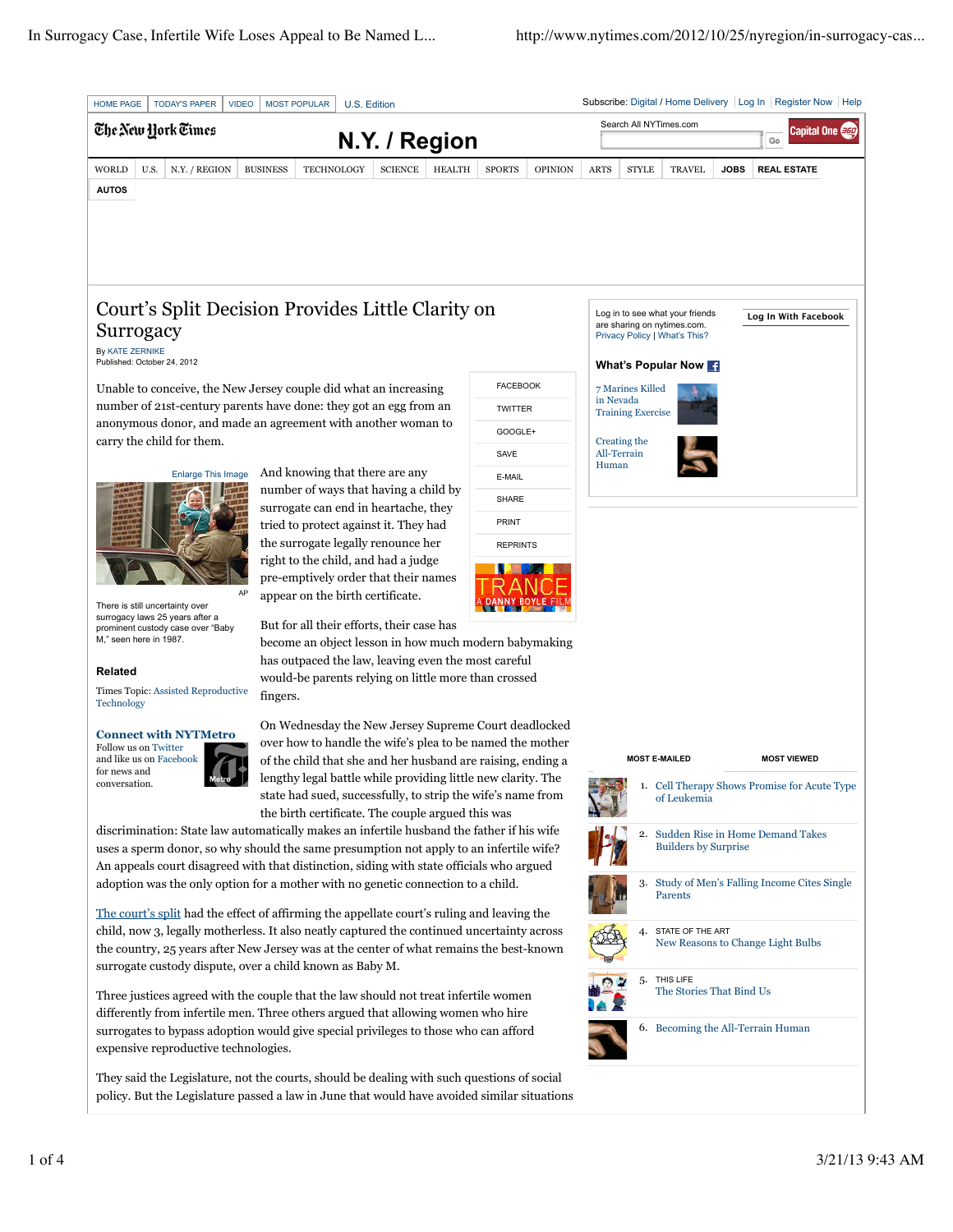| <b>HOME PAGE</b><br><b>TODAY'S PAPER</b><br><b>VIDEO</b>                                                                                                                                                                                                                        | <b>MOST POPULAR</b>                                                                                                                                                                                                                             | <b>U.S. Edition</b> |                |               |                                                 |                                                                                  |                                                                                                                                               |                      |               |             | Subscribe: Digital / Home Delivery   Log In   Register Now   Help |  |
|---------------------------------------------------------------------------------------------------------------------------------------------------------------------------------------------------------------------------------------------------------------------------------|-------------------------------------------------------------------------------------------------------------------------------------------------------------------------------------------------------------------------------------------------|---------------------|----------------|---------------|-------------------------------------------------|----------------------------------------------------------------------------------|-----------------------------------------------------------------------------------------------------------------------------------------------|----------------------|---------------|-------------|-------------------------------------------------------------------|--|
| The New York Times<br>N.Y. / Region                                                                                                                                                                                                                                             |                                                                                                                                                                                                                                                 |                     |                |               | Search All NYTimes.com<br>Capital One 659<br>Go |                                                                                  |                                                                                                                                               |                      |               |             |                                                                   |  |
| <b>WORLD</b><br>U.S.<br>N.Y. / REGION                                                                                                                                                                                                                                           | <b>BUSINESS</b><br>TECHNOLOGY                                                                                                                                                                                                                   |                     | <b>SCIENCE</b> | <b>HEALTH</b> | <b>SPORTS</b>                                   | <b>OPINION</b>                                                                   | <b>ARTS</b>                                                                                                                                   | <b>STYLE</b>         | <b>TRAVEL</b> | <b>JOBS</b> | <b>REAL ESTATE</b>                                                |  |
| <b>AUTOS</b>                                                                                                                                                                                                                                                                    |                                                                                                                                                                                                                                                 |                     |                |               |                                                 |                                                                                  |                                                                                                                                               |                      |               |             |                                                                   |  |
| Court's Split Decision Provides Little Clarity on<br>Surrogacy<br>By KATE ZERNIKE<br>Published: October 24, 2012                                                                                                                                                                |                                                                                                                                                                                                                                                 |                     |                |               |                                                 |                                                                                  | Log in to see what your friends<br>Log In With Facebook<br>are sharing on nytimes.com.<br>Privacy Policy   What's This?<br>What's Popular Now |                      |               |             |                                                                   |  |
| Unable to conceive, the New Jersey couple did what an increasing                                                                                                                                                                                                                |                                                                                                                                                                                                                                                 |                     |                |               |                                                 | <b>FACEBOOK</b>                                                                  | 7 Marines Killed                                                                                                                              |                      |               |             |                                                                   |  |
| number of 21st-century parents have done: they got an egg from an<br>anonymous donor, and made an agreement with another woman to<br>carry the child for them.                                                                                                                  |                                                                                                                                                                                                                                                 |                     |                |               | <b>TWITTER</b>                                  |                                                                                  | in Nevada<br><b>Training Exercise</b><br>Creating the<br>All-Terrain                                                                          |                      |               |             |                                                                   |  |
|                                                                                                                                                                                                                                                                                 |                                                                                                                                                                                                                                                 |                     |                |               | GOOGLE+                                         |                                                                                  |                                                                                                                                               |                      |               |             |                                                                   |  |
|                                                                                                                                                                                                                                                                                 |                                                                                                                                                                                                                                                 |                     |                |               | SAVE                                            |                                                                                  |                                                                                                                                               |                      |               |             |                                                                   |  |
| <b>Enlarge This Image</b>                                                                                                                                                                                                                                                       | And knowing that there are any<br>number of ways that having a child by<br>surrogate can end in heartache, they<br>tried to protect against it. They had<br>the surrogate legally renounce her                                                  |                     |                |               | E-MAIL                                          |                                                                                  |                                                                                                                                               | Human                |               |             |                                                                   |  |
|                                                                                                                                                                                                                                                                                 |                                                                                                                                                                                                                                                 |                     |                |               | <b>SHARE</b>                                    |                                                                                  |                                                                                                                                               |                      |               |             |                                                                   |  |
|                                                                                                                                                                                                                                                                                 |                                                                                                                                                                                                                                                 |                     |                |               | PRINT                                           |                                                                                  |                                                                                                                                               |                      |               |             |                                                                   |  |
|                                                                                                                                                                                                                                                                                 |                                                                                                                                                                                                                                                 |                     |                |               | <b>REPRINTS</b>                                 |                                                                                  |                                                                                                                                               |                      |               |             |                                                                   |  |
| AP<br>There is still uncertainty over<br>surrogacy laws 25 years after a                                                                                                                                                                                                        | right to the child, and had a judge<br>pre-emptively order that their names<br>appear on the birth certificate.                                                                                                                                 |                     |                |               |                                                 |                                                                                  |                                                                                                                                               |                      |               |             |                                                                   |  |
| prominent custody case over "Baby<br>M," seen here in 1987.<br>Related<br>Times Topic: Assisted Reproductive<br>Technology                                                                                                                                                      | But for all their efforts, their case has<br>become an object lesson in how much modern babymaking<br>has outpaced the law, leaving even the most careful<br>would-be parents relying on little more than crossed<br>fingers.                   |                     |                |               |                                                 |                                                                                  |                                                                                                                                               |                      |               |             |                                                                   |  |
| <b>Connect with NYTMetro</b>                                                                                                                                                                                                                                                    | On Wednesday the New Jersey Supreme Court deadlocked<br>over how to handle the wife's plea to be named the mother                                                                                                                               |                     |                |               |                                                 |                                                                                  |                                                                                                                                               |                      |               |             |                                                                   |  |
| Follow us on Twitter<br>and like us on Facebook                                                                                                                                                                                                                                 |                                                                                                                                                                                                                                                 |                     |                |               |                                                 |                                                                                  |                                                                                                                                               | <b>MOST E-MAILED</b> |               |             | <b>MOST VIEWED</b>                                                |  |
| for news and<br>conversation.                                                                                                                                                                                                                                                   | of the child that she and her husband are raising, ending a<br>lengthy legal battle while providing little new clarity. The<br>state had sued, successfully, to strip the wife's name from<br>the birth certificate. The couple argued this was |                     |                |               |                                                 |                                                                                  | 1. Cell Therapy Shows Promise for Acute Type<br>of Leukemia                                                                                   |                      |               |             |                                                                   |  |
| discrimination: State law automatically makes an infertile husband the father if his wife<br>uses a sperm donor, so why should the same presumption not apply to an infertile wife?<br>An appeals court disagreed with that distinction, siding with state officials who argued |                                                                                                                                                                                                                                                 |                     |                |               |                                                 |                                                                                  | 2. Sudden Rise in Home Demand Takes<br><b>Builders by Surprise</b>                                                                            |                      |               |             |                                                                   |  |
| adoption was the only option for a mother with no genetic connection to a child.<br>The court's split had the effect of affirming the appellate court's ruling and leaving the                                                                                                  |                                                                                                                                                                                                                                                 |                     |                |               |                                                 |                                                                                  | Study of Men's Falling Income Cites Single<br>Parents                                                                                         |                      |               |             |                                                                   |  |
| child, now 3, legally motherless. It also neatly captured the continued uncertainty across<br>the country, 25 years after New Jersey was at the center of what remains the best-known<br>surrogate custody dispute, over a child known as Baby M.                               |                                                                                                                                                                                                                                                 |                     |                |               |                                                 |                                                                                  | STATE OF THE ART<br>New Reasons to Change Light Bulbs                                                                                         |                      |               |             |                                                                   |  |
| Three justices agreed with the couple that the law should not treat infertile women<br>differently from infertile men. Three others argued that allowing women who hire<br>surrogates to bypass adoption would give special privileges to those who can afford                  |                                                                                                                                                                                                                                                 |                     |                |               |                                                 | THIS LIFE<br>5.<br>The Stories That Bind Us<br>6. Becoming the All-Terrain Human |                                                                                                                                               |                      |               |             |                                                                   |  |
| expensive reproductive technologies.<br>They said the Legislature, not the courts, should be dealing with such questions of social                                                                                                                                              |                                                                                                                                                                                                                                                 |                     |                |               |                                                 |                                                                                  |                                                                                                                                               |                      |               |             |                                                                   |  |

policy. But the Legislature passed a law in June that would have avoided similar situations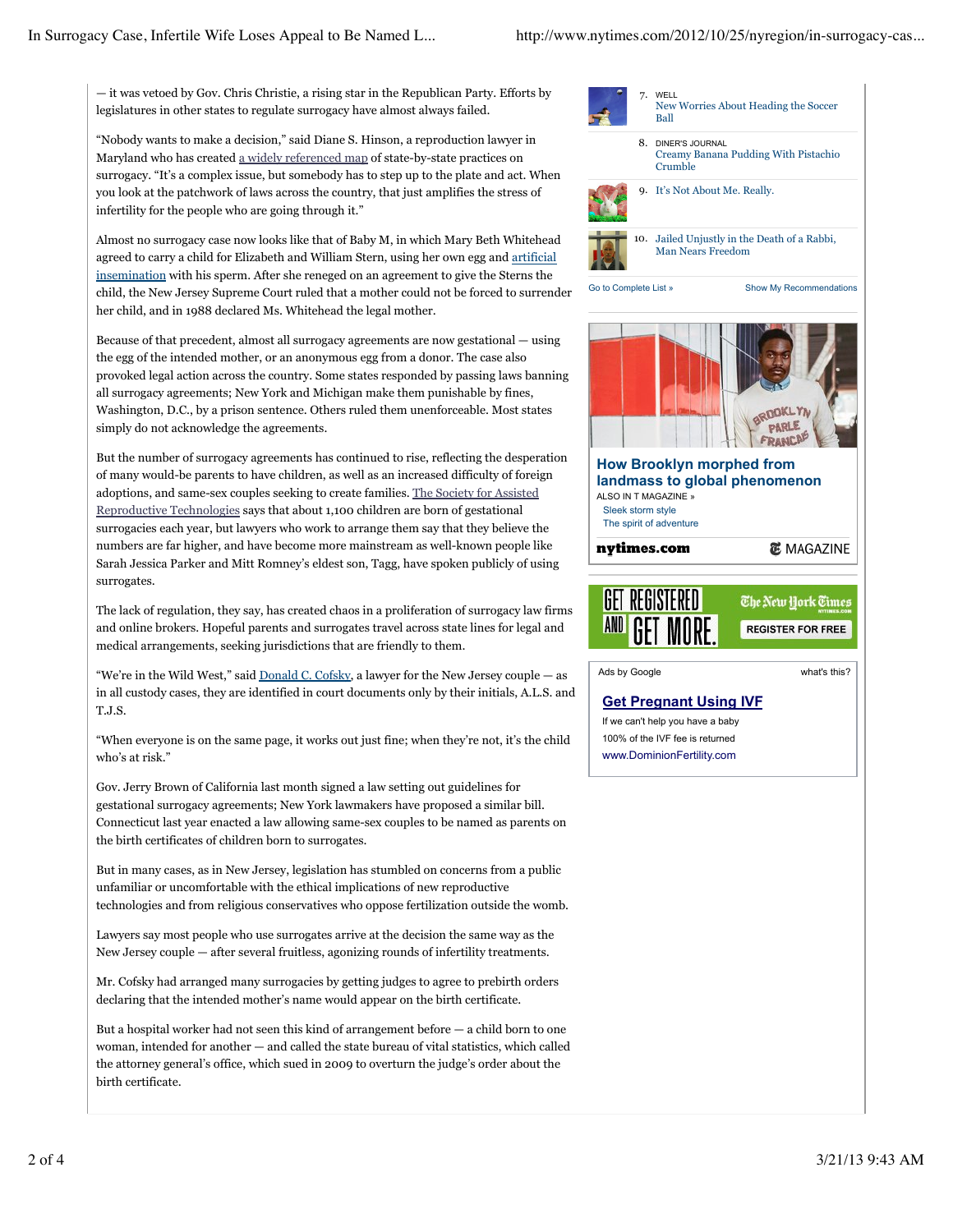— it was vetoed by Gov. Chris Christie, a rising star in the Republican Party. Efforts by legislatures in other states to regulate surrogacy have almost always failed.

"Nobody wants to make a decision," said Diane S. Hinson, a reproduction lawyer in Maryland who has created a widely referenced map of state-by-state practices on surrogacy. "It's a complex issue, but somebody has to step up to the plate and act. When you look at the patchwork of laws across the country, that just amplifies the stress of infertility for the people who are going through it."

Almost no surrogacy case now looks like that of Baby M, in which Mary Beth Whitehead agreed to carry a child for Elizabeth and William Stern, using her own egg and artificial insemination with his sperm. After she reneged on an agreement to give the Sterns the child, the New Jersey Supreme Court ruled that a mother could not be forced to surrender her child, and in 1988 declared Ms. Whitehead the legal mother.

Because of that precedent, almost all surrogacy agreements are now gestational — using the egg of the intended mother, or an anonymous egg from a donor. The case also provoked legal action across the country. Some states responded by passing laws banning all surrogacy agreements; New York and Michigan make them punishable by fines, Washington, D.C., by a prison sentence. Others ruled them unenforceable. Most states simply do not acknowledge the agreements.

But the number of surrogacy agreements has continued to rise, reflecting the desperation of many would-be parents to have children, as well as an increased difficulty of foreign adoptions, and same-sex couples seeking to create families. The Society for Assisted Reproductive Technologies says that about 1,100 children are born of gestational surrogacies each year, but lawyers who work to arrange them say that they believe the numbers are far higher, and have become more mainstream as well-known people like Sarah Jessica Parker and Mitt Romney's eldest son, Tagg, have spoken publicly of using surrogates.

The lack of regulation, they say, has created chaos in a proliferation of surrogacy law firms and online brokers. Hopeful parents and surrogates travel across state lines for legal and medical arrangements, seeking jurisdictions that are friendly to them.

"We're in the Wild West," said **Donald C. Cofsky**, a lawyer for the New Jersey couple — as in all custody cases, they are identified in court documents only by their initials, A.L.S. and T.J.S.

"When everyone is on the same page, it works out just fine; when they're not, it's the child who's at risk."

Gov. Jerry Brown of California last month signed a law setting out guidelines for gestational surrogacy agreements; New York lawmakers have proposed a similar bill. Connecticut last year enacted a law allowing same-sex couples to be named as parents on the birth certificates of children born to surrogates.

But in many cases, as in New Jersey, legislation has stumbled on concerns from a public unfamiliar or uncomfortable with the ethical implications of new reproductive technologies and from religious conservatives who oppose fertilization outside the womb.

Lawyers say most people who use surrogates arrive at the decision the same way as the New Jersey couple — after several fruitless, agonizing rounds of infertility treatments.

Mr. Cofsky had arranged many surrogacies by getting judges to agree to prebirth orders declaring that the intended mother's name would appear on the birth certificate.

But a hospital worker had not seen this kind of arrangement before — a child born to one woman, intended for another — and called the state bureau of vital statistics, which called the attorney general's office, which sued in 2009 to overturn the judge's order about the birth certificate.



If we can't help you have a baby 100% of the IVF fee is returned www.DominionFertility.com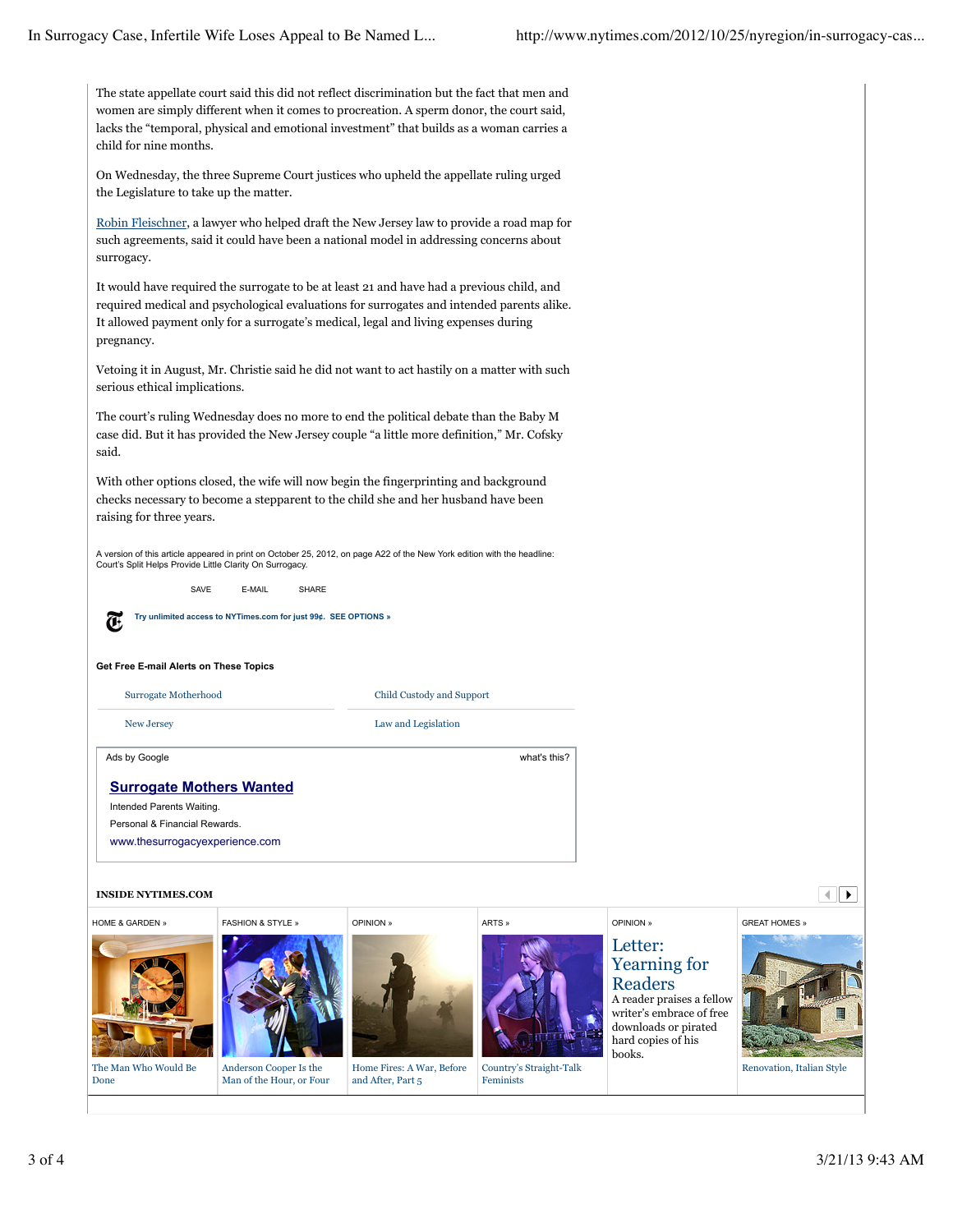The state appellate court said this did not reflect discrimination but the fact that men and women are simply different when it comes to procreation. A sperm donor, the court said, lacks the "temporal, physical and emotional investment" that builds as a woman carries a child for nine months.

On Wednesday, the three Supreme Court justices who upheld the appellate ruling urged the Legislature to take up the matter.

Robin Fleischner, a lawyer who helped draft the New Jersey law to provide a road map for such agreements, said it could have been a national model in addressing concerns about surrogacy.

It would have required the surrogate to be at least 21 and have had a previous child, and required medical and psychological evaluations for surrogates and intended parents alike. It allowed payment only for a surrogate's medical, legal and living expenses during pregnancy.

Vetoing it in August, Mr. Christie said he did not want to act hastily on a matter with such serious ethical implications.

The court's ruling Wednesday does no more to end the political debate than the Baby M case did. But it has provided the New Jersey couple "a little more definition," Mr. Cofsky said.

With other options closed, the wife will now begin the fingerprinting and background checks necessary to become a stepparent to the child she and her husband have been raising for three years.

A version of this article appeared in print on October 25, 2012, on page A22 of the New York edition with the headline: Court's Split Helps Provide Little Clarity On Surrogacy.

SAVE **F-MAIL SHARE** 



**Try unlimited access to NYTimes.com for just 99¢. SEE OPTIONS »**

## **Get Free E-mail Alerts on These Topics**

Surrogate Motherhood

Child Custody and Support

New Jersey

Law and Legislation

Ads by Google what's this?

## **Surrogate Mothers Wanted**

Intended Parents Waiting.

Personal & Financial Rewards.

www.thesurrogacyexperience.com

## **INSIDE NYTIMES.COM**



 $\left| \cdot \right|$